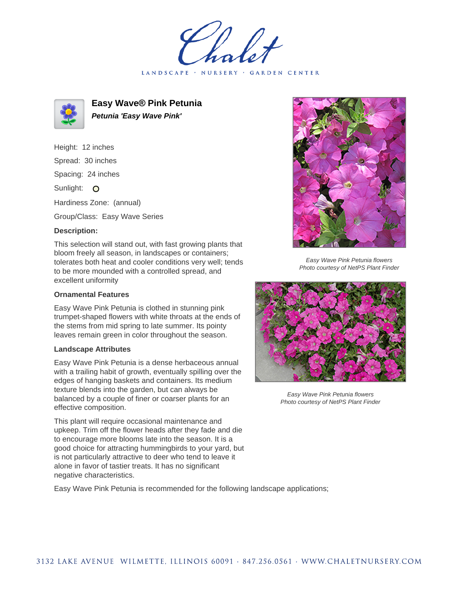LANDSCAPE · NURSERY · GARDEN CENTER



**Easy Wave® Pink Petunia Petunia 'Easy Wave Pink'**

Height: 12 inches Spread: 30 inches Spacing: 24 inches Sunlight: O Hardiness Zone: (annual)

Group/Class: Easy Wave Series

## **Description:**

This selection will stand out, with fast growing plants that bloom freely all season, in landscapes or containers; tolerates both heat and cooler conditions very well; tends to be more mounded with a controlled spread, and excellent uniformity

## **Ornamental Features**

Easy Wave Pink Petunia is clothed in stunning pink trumpet-shaped flowers with white throats at the ends of the stems from mid spring to late summer. Its pointy leaves remain green in color throughout the season.

## **Landscape Attributes**

Easy Wave Pink Petunia is a dense herbaceous annual with a trailing habit of growth, eventually spilling over the edges of hanging baskets and containers. Its medium texture blends into the garden, but can always be balanced by a couple of finer or coarser plants for an effective composition.

This plant will require occasional maintenance and upkeep. Trim off the flower heads after they fade and die to encourage more blooms late into the season. It is a good choice for attracting hummingbirds to your yard, but is not particularly attractive to deer who tend to leave it alone in favor of tastier treats. It has no significant negative characteristics.





Easy Wave Pink Petunia flowers Photo courtesy of NetPS Plant Finder



Easy Wave Pink Petunia flowers Photo courtesy of NetPS Plant Finder